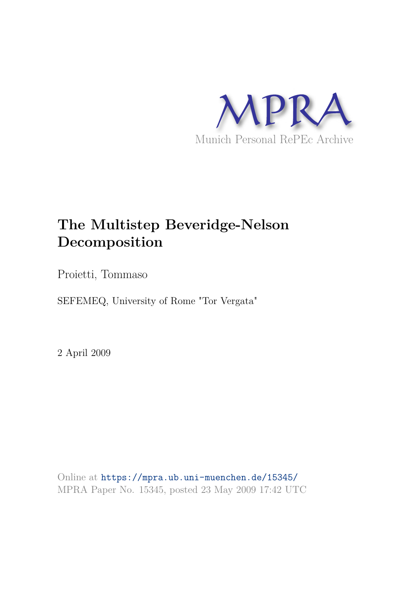

# **The Multistep Beveridge-Nelson Decomposition**

Proietti, Tommaso

SEFEMEQ, University of Rome "Tor Vergata"

2 April 2009

Online at https://mpra.ub.uni-muenchen.de/15345/ MPRA Paper No. 15345, posted 23 May 2009 17:42 UTC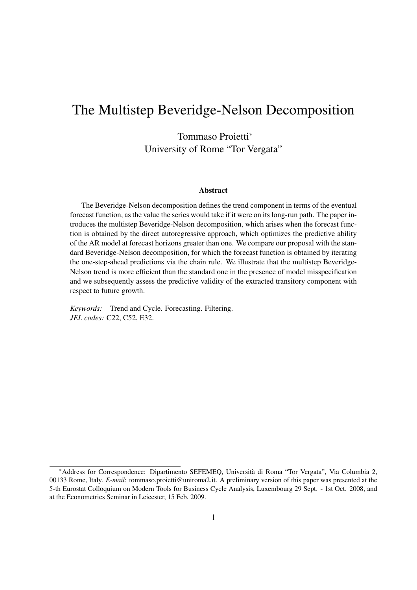# The Multistep Beveridge-Nelson Decomposition

Tommaso Proietti<sup>∗</sup> University of Rome "Tor Vergata"

#### **Abstract**

The Beveridge-Nelson decomposition defines the trend component in terms of the eventual forecast function, as the value the series would take if it were on its long-run path. The paper introduces the multistep Beveridge-Nelson decomposition, which arises when the forecast function is obtained by the direct autoregressive approach, which optimizes the predictive ability of the AR model at forecast horizons greater than one. We compare our proposal with the standard Beveridge-Nelson decomposition, for which the forecast function is obtained by iterating the one-step-ahead predictions via the chain rule. We illustrate that the multistep Beveridge-Nelson trend is more efficient than the standard one in the presence of model misspecification and we subsequently assess the predictive validity of the extracted transitory component with respect to future growth.

*Keywords:* Trend and Cycle. Forecasting. Filtering. *JEL codes:* C22, C52, E32.

<sup>∗</sup>Address for Correspondence: Dipartimento SEFEMEQ, Universita di Roma "Tor Vergata", Via Columbia 2, ` 00133 Rome, Italy. *E-mail*: tommaso.proietti@uniroma2.it. A preliminary version of this paper was presented at the 5-th Eurostat Colloquium on Modern Tools for Business Cycle Analysis, Luxembourg 29 Sept. - 1st Oct. 2008, and at the Econometrics Seminar in Leicester, 15 Feb. 2009.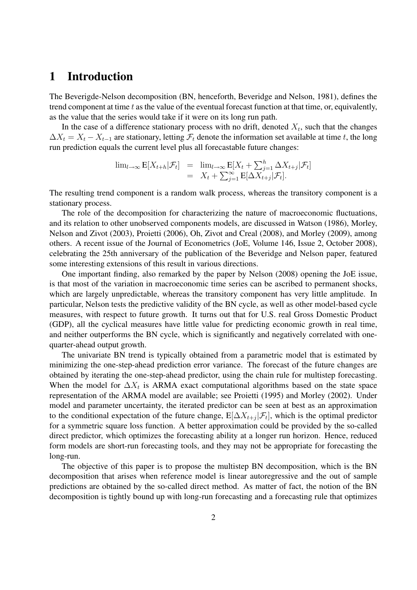# **1 Introduction**

The Beverigde-Nelson decomposition (BN, henceforth, Beveridge and Nelson, 1981), defines the trend component at time  $t$  as the value of the eventual forecast function at that time, or, equivalently, as the value that the series would take if it were on its long run path.

In the case of a difference stationary process with no drift, denoted  $X_t$ , such that the changes  $\Delta X_t = X_t - X_{t-1}$  are stationary, letting  $\mathcal{F}_t$  denote the information set available at time t, the long run prediction equals the current level plus all forecastable future changes:

$$
\lim_{l \to \infty} \mathbf{E}[X_{t+h}|\mathcal{F}_t] = \lim_{l \to \infty} \mathbf{E}[X_t + \sum_{j=1}^h \Delta X_{t+j}|\mathcal{F}_t]
$$
  
=  $X_t + \sum_{j=1}^\infty \mathbf{E}[\Delta X_{t+j}|\mathcal{F}_t].$ 

The resulting trend component is a random walk process, whereas the transitory component is a stationary process.

The role of the decomposition for characterizing the nature of macroeconomic fluctuations, and its relation to other unobserved components models, are discussed in Watson (1986), Morley, Nelson and Zivot (2003), Proietti (2006), Oh, Zivot and Creal (2008), and Morley (2009), among others. A recent issue of the Journal of Econometrics (JoE, Volume 146, Issue 2, October 2008), celebrating the 25th anniversary of the publication of the Beveridge and Nelson paper, featured some interesting extensions of this result in various directions.

One important finding, also remarked by the paper by Nelson (2008) opening the JoE issue, is that most of the variation in macroeconomic time series can be ascribed to permanent shocks, which are largely unpredictable, whereas the transitory component has very little amplitude. In particular, Nelson tests the predictive validity of the BN cycle, as well as other model-based cycle measures, with respect to future growth. It turns out that for U.S. real Gross Domestic Product (GDP), all the cyclical measures have little value for predicting economic growth in real time, and neither outperforms the BN cycle, which is significantly and negatively correlated with onequarter-ahead output growth.

The univariate BN trend is typically obtained from a parametric model that is estimated by minimizing the one-step-ahead prediction error variance. The forecast of the future changes are obtained by iterating the one-step-ahead predictor, using the chain rule for multistep forecasting. When the model for  $\Delta X_t$  is ARMA exact computational algorithms based on the state space representation of the ARMA model are available; see Proietti (1995) and Morley (2002). Under model and parameter uncertainty, the iterated predictor can be seen at best as an approximation to the conditional expectation of the future change,  $E[\Delta X_{t+j}|\mathcal{F}_t]$ , which is the optimal predictor for a symmetric square loss function. A better approximation could be provided by the so-called direct predictor, which optimizes the forecasting ability at a longer run horizon. Hence, reduced form models are short-run forecasting tools, and they may not be appropriate for forecasting the long-run.

The objective of this paper is to propose the multistep BN decomposition, which is the BN decomposition that arises when reference model is linear autoregressive and the out of sample predictions are obtained by the so-called direct method. As matter of fact, the notion of the BN decomposition is tightly bound up with long-run forecasting and a forecasting rule that optimizes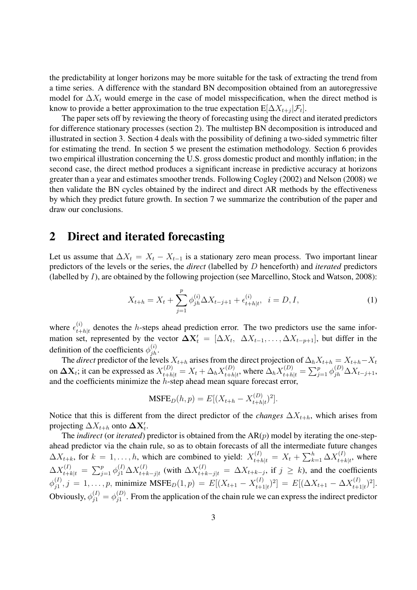the predictability at longer horizons may be more suitable for the task of extracting the trend from a time series. A difference with the standard BN decomposition obtained from an autoregressive model for  $\Delta X_t$  would emerge in the case of model misspecification, when the direct method is know to provide a better approximation to the true expectation  $E[\Delta X_{t+j}|\mathcal{F}_t].$ 

The paper sets off by reviewing the theory of forecasting using the direct and iterated predictors for difference stationary processes (section 2). The multistep BN decomposition is introduced and illustrated in section 3. Section 4 deals with the possibility of defining a two-sided symmetric filter for estimating the trend. In section 5 we present the estimation methodology. Section 6 provides two empirical illustration concerning the U.S. gross domestic product and monthly inflation; in the second case, the direct method produces a significant increase in predictive accuracy at horizons greater than a year and estimates smoother trends. Following Cogley (2002) and Nelson (2008) we then validate the BN cycles obtained by the indirect and direct AR methods by the effectiveness by which they predict future growth. In section 7 we summarize the contribution of the paper and draw our conclusions.

## **2 Direct and iterated forecasting**

Let us assume that  $\Delta X_t = X_t - X_{t-1}$  is a stationary zero mean process. Two important linear predictors of the levels or the series, the *direct* (labelled by D henceforth) and *iterated* predictors (labelled by I), are obtained by the following projection (see Marcellino, Stock and Watson, 2008):

$$
X_{t+h} = X_t + \sum_{j=1}^p \phi_{jh}^{(i)} \Delta X_{t-j+1} + \epsilon_{t+h|t}^{(i)}, \ \ i = D, I,
$$
 (1)

where  $\epsilon_{t+1}^{(i)}$  $t_{th}|t$  denotes the h-steps ahead prediction error. The two predictors use the same information set, represented by the vector  $\Delta X'_t = [\Delta X_t, \ \Delta X_{t-1}, \dots, \Delta X_{t-p+1}]$ , but differ in the definition of the coefficients  $\phi_{jh}^{(i)}$ .

The *direct* predictor of the levels  $X_{t+h}$  arises from the direct projection of  $\Delta_h X_{t+h} = X_{t+h} - X_t$ on  $\Delta X_t$ ; it can be expressed as  $X_{t+h|t}^{(D)} = X_t + \Delta_h X_{t+h}^{(D)}$  $t_{t+h|t}^{(D)}$ , where  $\Delta_h X_{t+h|t}^{(D)} = \sum_{j=1}^p \phi_{jh}^{(D)} \Delta X_{t-j+1}$ , and the coefficients minimize the  $h$ -step ahead mean square forecast error,

$$
MSEE_D(h, p) = E[(X_{t+h} - X_{t+h|t}^{(D)})^2].
$$

Notice that this is different from the direct predictor of the *changes*  $\Delta X_{t+h}$ , which arises from projecting  $\Delta X_{t+h}$  onto  $\Delta \mathbf{X}'_t$ .

The *indirect* (or *iterated*) predictor is obtained from the  $AR(p)$  model by iterating the one-stepahead predictor via the chain rule, so as to obtain forecasts of all the intermediate future changes  $\Delta X_{t+k}$ , for  $k = 1, \ldots, h$ , which are combined to yield:  $X_{t+h|t}^{(I)} = X_t + \sum_{k=1}^{h} \Delta X_{t+h}^{(I)}$  $t+k|t$ , where  $\Delta X_{t+k|t}^{(I)} = \sum_{j=1}^p \phi_{j1}^{(I)} \Delta X_{t+l}^{(I)}$  $t_{t+k-j|t}^{(I)}$  (with  $\Delta X_{t+k-j|t}^{(I)} = \Delta X_{t+k-j}$ , if  $j \ge k$ ), and the coefficients  $\phi_{i1}^{(I)}$  $j_1^{(I)}$ ,  $j = 1, ..., p$ , minimize MSFE $_D(1, p) = E[(X_{t+1} - X_{t+1}^{(I)})]$  $[t_{t+1|t}^{(I)})^2$  =  $E[(\Delta X_{t+1} - \Delta X_{t+1}^{(I)})$  $_{t+1|t}^{(I)}$  $)^2$ . Obviously,  $\phi_{j1}^{(I)} = \phi_{j1}^{(D)}$  $j_1^{(D)}$ . From the application of the chain rule we can express the indirect predictor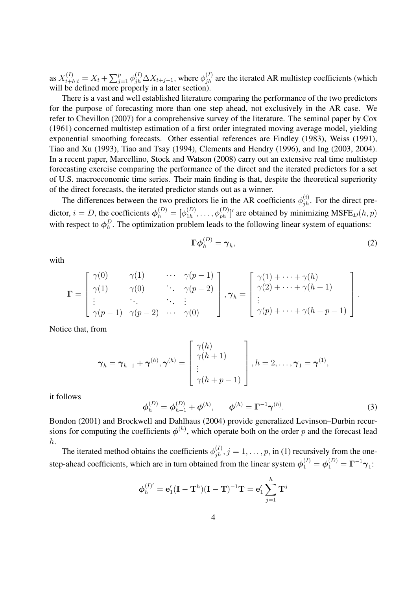as  $X_{t+h|t}^{(I)} = X_t + \sum_{j=1}^p \phi_{jh}^{(I)} \Delta X_{t+j-1}$ , where  $\phi_{jh}^{(I)}$  are the iterated AR multistep coefficients (which will be defined more properly in a later section).

There is a vast and well established literature comparing the performance of the two predictors for the purpose of forecasting more than one step ahead, not exclusively in the AR case. We refer to Chevillon (2007) for a comprehensive survey of the literature. The seminal paper by Cox (1961) concerned multistep estimation of a first order integrated moving average model, yielding exponential smoothing forecasts. Other essential references are Findley (1983), Weiss (1991), Tiao and Xu (1993), Tiao and Tsay (1994), Clements and Hendry (1996), and Ing (2003, 2004). In a recent paper, Marcellino, Stock and Watson (2008) carry out an extensive real time multistep forecasting exercise comparing the performance of the direct and the iterated predictors for a set of U.S. macroeconomic time series. Their main finding is that, despite the theoretical superiority of the direct forecasts, the iterated predictor stands out as a winner.

The differences between the two predictors lie in the AR coefficients  $\phi_{jh}^{(i)}$ . For the direct predictor,  $i = D$ , the coefficients  $\phi_h^{(D)} = [\phi_{1h}^{(D)}]$  $\phi_{1h}^{(D)}, \ldots, \phi_{ph}^{(D)}$ ' are obtained by minimizing MSFE $_D(h, p)$ with respect to  $\phi_h^D$  $h<sup>D</sup>$ . The optimization problem leads to the following linear system of equations:

$$
\Gamma \phi_h^{(D)} = \gamma_h,\tag{2}
$$

with

$$
\mathbf{\Gamma} = \begin{bmatrix} \gamma(0) & \gamma(1) & \cdots & \gamma(p-1) \\ \gamma(1) & \gamma(0) & \ddots & \gamma(p-2) \\ \vdots & \ddots & \ddots & \vdots \\ \gamma(p-1) & \gamma(p-2) & \cdots & \gamma(0) \end{bmatrix}, \gamma_h = \begin{bmatrix} \gamma(1) + \cdots + \gamma(h) \\ \gamma(2) + \cdots + \gamma(h+1) \\ \vdots \\ \gamma(p) + \cdots + \gamma(h+p-1) \end{bmatrix}.
$$

Notice that, from

$$
\boldsymbol{\gamma}_h = \boldsymbol{\gamma}_{h-1} + \boldsymbol{\gamma}^{(h)}, \boldsymbol{\gamma}^{(h)} = \begin{bmatrix} \gamma(h) \\ \gamma(h+1) \\ \vdots \\ \gamma(h+p-1) \end{bmatrix}, h = 2, \ldots, \boldsymbol{\gamma}_1 = \boldsymbol{\gamma}^{(1)},
$$

it follows

$$
\phi_h^{(D)} = \phi_{h-1}^{(D)} + \phi^{(h)}, \qquad \phi^{(h)} = \Gamma^{-1} \gamma^{(h)}.
$$
 (3)

Bondon (2001) and Brockwell and Dahlhaus (2004) provide generalized Levinson–Durbin recursions for computing the coefficients  $\phi^{(h)}$ , which operate both on the order p and the forecast lead h.

The iterated method obtains the coefficients  $\phi_{jh}^{(I)}$ ,  $j = 1, \ldots, p$ , in (1) recursively from the onestep-ahead coefficients, which are in turn obtained from the linear system  $\phi_1^{(I)} = \phi_1^{(D)} = \Gamma^{-1} \gamma_1$ :

$$
\boldsymbol{\phi}_h^{(I)'} = \mathbf{e}_1'(\mathbf{I}-\mathbf{T}^h)(\mathbf{I}-\mathbf{T})^{-1}\mathbf{T} = \mathbf{e}_1' \sum_{j=1}^h \mathbf{T}^j
$$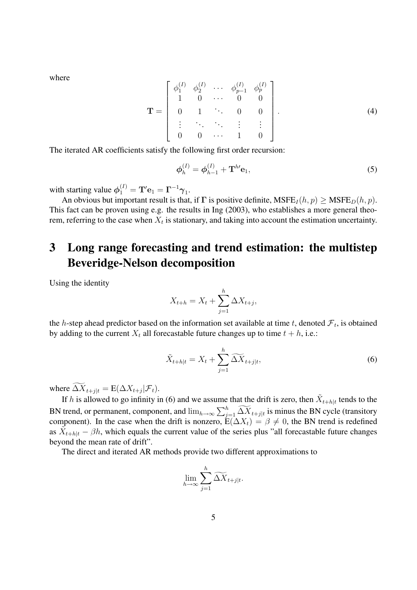where

$$
\mathbf{T} = \begin{bmatrix} \phi_1^{(I)} & \phi_2^{(I)} & \cdots & \phi_{p-1}^{(I)} & \phi_p^{(I)} \\ 1 & 0 & \cdots & 0 & 0 \\ 0 & 1 & \ddots & 0 & 0 \\ \vdots & \ddots & \ddots & \vdots & \vdots \\ 0 & 0 & \cdots & 1 & 0 \end{bmatrix} .
$$
 (4)

The iterated AR coefficients satisfy the following first order recursion:

$$
\phi_h^{(I)} = \phi_{h-1}^{(I)} + \mathbf{T}^{h'} \mathbf{e}_1,\tag{5}
$$

with starting value  $\phi_1^{(I)} = {\bf T}'{\bf e}_1 = {\bf \Gamma}^{-1}\boldsymbol{\gamma}_1.$ 

An obvious but important result is that, if  $\Gamma$  is positive definite,  $MSEE_I(h,p) \geq MSEE_D(h,p)$ . This fact can be proven using e.g. the results in Ing (2003), who establishes a more general theorem, referring to the case when  $X_t$  is stationary, and taking into account the estimation uncertainty.

# **3 Long range forecasting and trend estimation: the multistep Beveridge-Nelson decomposition**

Using the identity

$$
X_{t+h} = X_t + \sum_{j=1}^h \Delta X_{t+j},
$$

the *h*-step ahead predictor based on the information set available at time t, denoted  $\mathcal{F}_t$ , is obtained by adding to the current  $X_t$  all forecastable future changes up to time  $t + h$ , i.e.:

$$
\tilde{X}_{t+h|t} = X_t + \sum_{j=1}^h \widetilde{\Delta X}_{t+j|t},\tag{6}
$$

where  $\Delta X_{t+j|t} = E(\Delta X_{t+j}|\mathcal{F}_t)$ .

If h is allowed to go infinity in (6) and we assume that the drift is zero, then  $\tilde{X}_{t+h|t}$  tends to the BN trend, or permanent, component, and  $\lim_{h\to\infty}\sum_{j=1}^h \widetilde{\Delta X}_{t+j|t}$  is minus the BN cycle (transitory component). In the case when the drift is nonzero,  $E(\Delta X_t) = \beta \neq 0$ , the BN trend is redefined as  $\tilde{X}_{t+h|t} - \beta h$ , which equals the current value of the series plus "all forecastable future changes beyond the mean rate of drift".

The direct and iterated AR methods provide two different approximations to

$$
\lim_{h \to \infty} \sum_{j=1}^h \widetilde{\Delta X}_{t+j|t}.
$$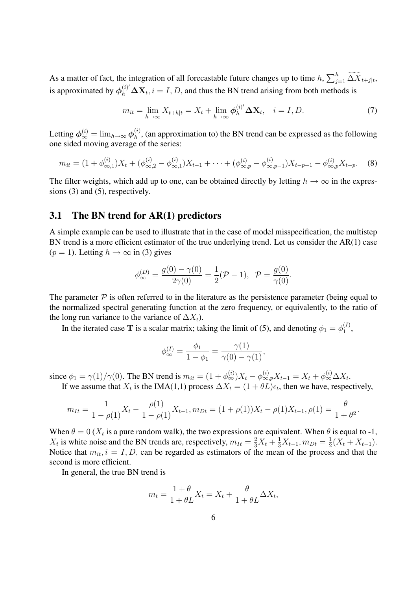As a matter of fact, the integration of all forecastable future changes up to time  $h$ ,  $\sum_{j=1}^{h} \widetilde{\Delta X}_{t+j|t}$ , is approximated by  $\phi_h^{(i)'} \Delta X_t$ ,  $i = I, D$ , and thus the BN trend arising from both methods is

$$
m_{it} = \lim_{h \to \infty} X_{t+h|t} = X_t + \lim_{h \to \infty} \phi_h^{(i)'} \Delta \mathbf{X}_t, \quad i = I, D. \tag{7}
$$

Letting  $\phi_{\infty}^{(i)} = \lim_{h \to \infty} \phi_h^{(i)}$  $h<sup>(1)</sup>$ , (an approximation to) the BN trend can be expressed as the following one sided moving average of the series:

$$
m_{it} = (1 + \phi_{\infty,1}^{(i)})X_t + (\phi_{\infty,2}^{(i)} - \phi_{\infty,1}^{(i)})X_{t-1} + \dots + (\phi_{\infty,p}^{(i)} - \phi_{\infty,p-1}^{(i)})X_{t-p+1} - \phi_{\infty,p}^{(i)}X_{t-p}.
$$
 (8)

The filter weights, which add up to one, can be obtained directly by letting  $h \to \infty$  in the expressions (3) and (5), respectively.

#### **3.1 The BN trend for AR(1) predictors**

A simple example can be used to illustrate that in the case of model misspecification, the multistep BN trend is a more efficient estimator of the true underlying trend. Let us consider the AR(1) case  $(p = 1)$ . Letting  $h \to \infty$  in (3) gives

$$
\phi_{\infty}^{(D)} = \frac{g(0) - \gamma(0)}{2\gamma(0)} = \frac{1}{2}(\mathcal{P} - 1), \ \ \mathcal{P} = \frac{g(0)}{\gamma(0)}.
$$

The parameter  $\mathcal P$  is often referred to in the literature as the persistence parameter (being equal to the normalized spectral generating function at the zero frequency, or equivalently, to the ratio of the long run variance to the variance of  $\Delta X_t$ ).

In the iterated case T is a scalar matrix; taking the limit of (5), and denoting  $\phi_1 = \phi_1^{(I)}$  $\binom{1}{1}$ ,

$$
\phi_{\infty}^{(I)} = \frac{\phi_1}{1 - \phi_1} = \frac{\gamma(1)}{\gamma(0) - \gamma(1)},
$$

since  $\phi_1 = \gamma(1)/\gamma(0)$ . The BN trend is  $m_{it} = (1 + \phi_{\infty}^{(i)})X_t - \phi_{\infty,p}^{(i)}X_{t-1} = X_t + \phi_{\infty}^{(i)}\Delta X_t$ .

If we assume that  $X_t$  is the IMA(1,1) process  $\Delta X_t = (1 + \theta L)\epsilon_t$ , then we have, respectively,

$$
m_{It} = \frac{1}{1 - \rho(1)} X_t - \frac{\rho(1)}{1 - \rho(1)} X_{t-1}, m_{Dt} = (1 + \rho(1)) X_t - \rho(1) X_{t-1}, \rho(1) = \frac{\theta}{1 + \theta^2}.
$$

When  $\theta = 0$  ( $X_t$  is a pure random walk), the two expressions are equivalent. When  $\theta$  is equal to -1,  $X_t$  is white noise and the BN trends are, respectively,  $m_{It} = \frac{2}{3}X_t + \frac{1}{3}X_{t-1}$ ,  $m_{Dt} = \frac{1}{2}$  $\frac{1}{2}(X_t+X_{t-1}).$ Notice that  $m_{it}$ ,  $i = I, D$ , can be regarded as estimators of the mean of the process and that the second is more efficient.

In general, the true BN trend is

$$
m_t = \frac{1+\theta}{1+\theta L} X_t = X_t + \frac{\theta}{1+\theta L} \Delta X_t,
$$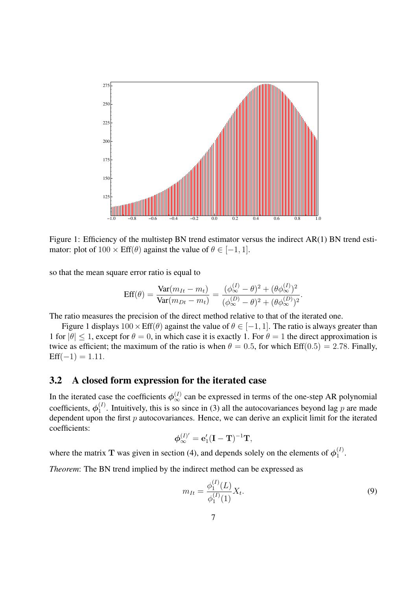

Figure 1: Efficiency of the multistep BN trend estimator versus the indirect AR(1) BN trend estimator: plot of  $100 \times \text{Eff}(\theta)$  against the value of  $\theta \in [-1, 1]$ .

so that the mean square error ratio is equal to

$$
Eff(\theta) = \frac{\text{Var}(m_{It} - m_t)}{\text{Var}(m_{Dt} - m_t)} = \frac{(\phi_{\infty}^{(I)} - \theta)^2 + (\theta \phi_{\infty}^{(I)})^2}{(\phi_{\infty}^{(D)} - \theta)^2 + (\theta \phi_{\infty}^{(D)})^2}.
$$

The ratio measures the precision of the direct method relative to that of the iterated one.

Figure 1 displays  $100 \times \text{Eff}(\theta)$  against the value of  $\theta \in [-1, 1]$ . The ratio is always greater than 1 for  $|\theta| \leq 1$ , except for  $\theta = 0$ , in which case it is exactly 1. For  $\theta = 1$  the direct approximation is twice as efficient; the maximum of the ratio is when  $\theta = 0.5$ , for which Eff(0.5) = 2.78. Finally,  $Eff(-1) = 1.11.$ 

#### **3.2 A closed form expression for the iterated case**

In the iterated case the coefficients  $\phi_{\infty}^{(I)}$  can be expressed in terms of the one-step AR polynomial coefficients,  $\phi_1^{(I)}$  $1<sup>(1)</sup>$ . Intuitively, this is so since in (3) all the autocovariances beyond lag p are made dependent upon the first  $p$  autocovariances. Hence, we can derive an explicit limit for the iterated coefficients:

$$
\phi_{\infty}^{(I)'} = \mathbf{e}'_1 (\mathbf{I} - \mathbf{T})^{-1} \mathbf{T},
$$

where the matrix T was given in section (4), and depends solely on the elements of  $\phi_1^{(I)}$  $\frac{(1)}{1}$ .

*Theorem*: The BN trend implied by the indirect method can be expressed as

$$
m_{It} = \frac{\phi_1^{(I)}(L)}{\phi_1^{(I)}(1)} X_t.
$$
\n(9)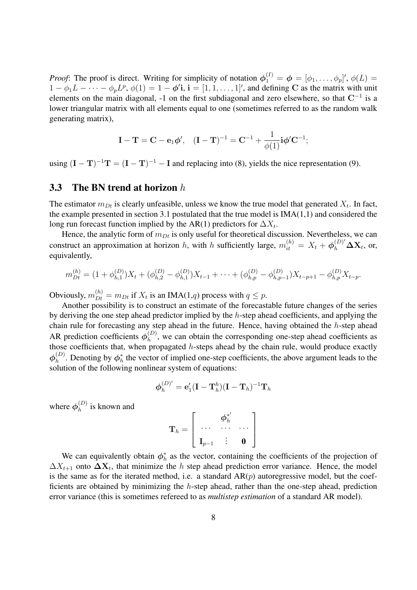*Proof*: The proof is direct. Writing for simplicity of notation  $\phi_1^{(I)} = \phi = [\phi_1, \dots, \phi_p]'$ ,  $\phi(L) =$  $1 - \phi_1 L - \cdots - \phi_p L^p$ ,  $\phi(1) = 1 - \phi'$ **i**,  $\mathbf{i} = [1, 1, \dots, 1]'$ , and defining C as the matrix with unit elements on the main diagonal, -1 on the first subdiagonal and zero elsewhere, so that  $C^{-1}$  is a lower triangular matrix with all elements equal to one (sometimes referred to as the random walk generating matrix),

$$
\mathbf{I}-\mathbf{T}=\mathbf{C}-\mathbf{e}_1\boldsymbol{\phi}',\quad (\mathbf{I}-\mathbf{T})^{-1}=\mathbf{C}^{-1}+\frac{1}{\phi(1)}\mathbf{i}\boldsymbol{\phi}'\mathbf{C}^{-1};
$$

using  $(I - T)^{-1}T = (I - T)^{-1} - I$  and replacing into (8), yields the nice representation (9).

#### **3.3 The BN trend at horizon** h

The estimator  $m_{Dt}$  is clearly unfeasible, unless we know the true model that generated  $X_t$ . In fact, the example presented in section 3.1 postulated that the true model is IMA(1,1) and considered the long run forecast function implied by the AR(1) predictors for  $\Delta X_t$ .

Hence, the analytic form of  $m_{Dt}$  is only useful for theoretical discussion. Nevertheless, we can construct an approximation at horizon h, with h sufficiently large,  $m_{it}^{(h)} = X_t + \phi_h^{(D)'} \Delta X_t$ , or, equivalently,

$$
m_{Dt}^{(h)} = (1 + \phi_{h,1}^{(D)})X_t + (\phi_{h,2}^{(D)} - \phi_{h,1}^{(D)})X_{t-1} + \cdots + (\phi_{h,p}^{(D)} - \phi_{h,p-1}^{(D)})X_{t-p+1} - \phi_{h,p}^{(D)}X_{t-p}.
$$

Obviously,  $m_{Dt}^{(h)} = m_{Dt}$  if  $X_t$  is an IMA(1,q) process with  $q \le p$ .

Another possibility is to construct an estimate of the forecastable future changes of the series by deriving the one step ahead predictor implied by the h-step ahead coefficients, and applying the chain rule for forecasting any step ahead in the future. Hence, having obtained the  $h$ -step ahead AR prediction coefficients  $\phi_h^{(D)}$  $h_h^{(D)}$ , we can obtain the corresponding one-step ahead coefficients as those coefficients that, when propagated  $h$ -steps ahead by the chain rule, would produce exactly  $\boldsymbol{\phi}_h^{(D)}$  $h_h^{(D)}$ . Denoting by  $\phi_h^*$  the vector of implied one-step coefficients, the above argument leads to the solution of the following nonlinear system of equations:

$$
\boldsymbol{\phi}_h^{(D)'} = \mathbf{e}_1'(\mathbf{I}-\mathbf{T}_h^h)(\mathbf{I}-\mathbf{T}_h)^{-1}\mathbf{T}_h
$$

where  $\phi_h^{(D)}$  $h^{(D)}$  is known and

$$
\mathbf{T}_h = \left[ \begin{array}{ccc} & \boldsymbol{\phi}_h^{*'} & \\ \cdots & \cdots & \cdots \\ \mathbf{I}_{p-1} & \vdots & \mathbf{0} \end{array} \right]
$$

We can equivalently obtain  $\phi_h^*$  as the vector, containing the coefficients of the projection of  $\Delta X_{t+1}$  onto  $\Delta X_t$ , that minimize the h step ahead prediction error variance. Hence, the model is the same as for the iterated method, i.e. a standard  $AR(p)$  autoregressive model, but the coefficients are obtained by minimizing the h-step ahead, rather than the one-step ahead, prediction error variance (this is sometimes refereed to as *multistep estimation* of a standard AR model).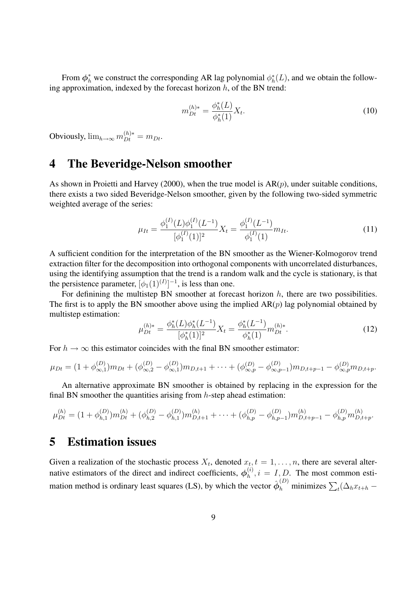From  $\phi_h^*$  we construct the corresponding AR lag polynomial  $\phi_h^*(L)$ , and we obtain the following approximation, indexed by the forecast horizon  $h$ , of the BN trend:

$$
m_{Dt}^{(h)*} = \frac{\phi_h^*(L)}{\phi_h^*(1)} X_t.
$$
\n(10)

Obviously,  $\lim_{h\to\infty} m_{Dt}^{(h)*} = m_{Dt}$ .

## **4 The Beveridge-Nelson smoother**

As shown in Proietti and Harvey (2000), when the true model is  $AR(p)$ , under suitable conditions, there exists a two sided Beveridge-Nelson smoother, given by the following two-sided symmetric weighted average of the series:

$$
\mu_{It} = \frac{\phi_1^{(I)}(L)\phi_1^{(I)}(L^{-1})}{[\phi_1^{(I)}(1)]^2}X_t = \frac{\phi_1^{(I)}(L^{-1})}{\phi_1^{(I)}(1)}m_{It}.
$$
\n(11)

A sufficient condition for the interpretation of the BN smoother as the Wiener-Kolmogorov trend extraction filter for the decomposition into orthogonal components with uncorrelated disturbances, using the identifying assumption that the trend is a random walk and the cycle is stationary, is that the persistence parameter,  $[\phi_1(1)^{(I)}]^{-1}$ , is less than one.

For definining the multistep BN smoother at forecast horizon  $h$ , there are two possibilities. The first is to apply the BN smoother above using the implied  $AR(p)$  lag polynomial obtained by multistep estimation:

$$
\mu_{Dt}^{(h)*} = \frac{\phi_h^*(L)\phi_h^*(L^{-1})}{[\phi_h^*(1)]^2} X_t = \frac{\phi_h^*(L^{-1})}{\phi_h^*(1)} m_{Dt}^{(h)*}.
$$
\n(12)

For  $h \to \infty$  this estimator coincides with the final BN smoother estimator:

$$
\mu_{Dt} = (1 + \phi_{\infty,1}^{(D)})m_{Dt} + (\phi_{\infty,2}^{(D)} - \phi_{\infty,1}^{(D)})m_{D,t+1} + \cdots + (\phi_{\infty,p}^{(D)} - \phi_{\infty,p-1}^{(D)})m_{D,t+p-1} - \phi_{\infty,p}^{(D)}m_{D,t+p}.
$$

An alternative approximate BN smoother is obtained by replacing in the expression for the final BN smoother the quantities arising from  $h$ -step ahead estimation:

$$
\mu_{Dt}^{(h)} = (1 + \phi_{h,1}^{(D)})m_{Dt}^{(h)} + (\phi_{h,2}^{(D)} - \phi_{h,1}^{(D)})m_{D,t+1}^{(h)} + \cdots + (\phi_{h,p}^{(D)} - \phi_{h,p-1}^{(D)})m_{D,t+p-1}^{(h)} - \phi_{h,p}^{(D)}m_{D,t+p}^{(h)}.
$$

# **5 Estimation issues**

Given a realization of the stochastic process  $X_t$ , denoted  $x_t$ ,  $t = 1, \ldots, n$ , there are several alternative estimators of the direct and indirect coefficients,  $\phi_h^{(i)}$  $h^{(i)}$ ,  $i = I, D$ . The most common estimation method is ordinary least squares (LS), by which the vector  $\hat{\phi}_h^{(D)}$  minimizes  $\sum_t (\Delta_h x_{t+h} -$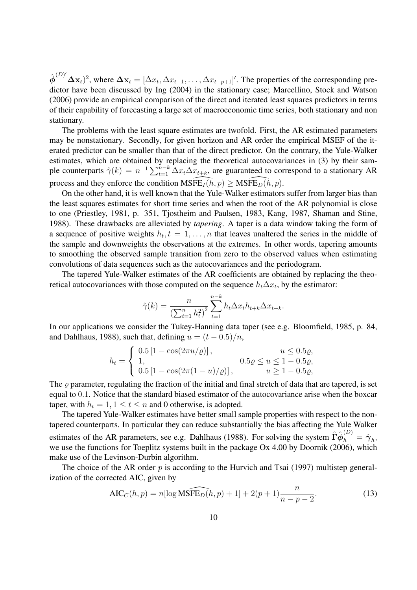$\hat{\phi}^{(D)'}\Delta x_t$ )<sup>2</sup>, where  $\Delta x_t = [\Delta x_t, \Delta x_{t-1}, \dots, \Delta x_{t-p+1}]'$ . The properties of the corresponding predictor have been discussed by Ing (2004) in the stationary case; Marcellino, Stock and Watson (2006) provide an empirical comparison of the direct and iterated least squares predictors in terms of their capability of forecasting a large set of macroeconomic time series, both stationary and non stationary.

The problems with the least square estimates are twofold. First, the AR estimated parameters may be nonstationary. Secondly, for given horizon and AR order the empirical MSEF of the iterated predictor can be smaller than that of the direct predictor. On the contrary, the Yule-Walker estimates, which are obtained by replacing the theoretical autocovariances in (3) by their sample counterparts  $\hat{\gamma}(k) = n^{-1} \sum_{t=1}^{n-k} \Delta x_t \Delta x_{t+k}$ , are guaranteed to correspond to a stationary AR process and they enforce the condition  $M\widetilde{SFE}_I(h,p)$  >  $M\widetilde{SFE}_I(h,p)$ .

On the other hand, it is well known that the Yule-Walker estimators suffer from larger bias than the least squares estimates for short time series and when the root of the AR polynomial is close to one (Priestley, 1981, p. 351, Tjostheim and Paulsen, 1983, Kang, 1987, Shaman and Stine, 1988). These drawbacks are alleviated by *tapering*. A taper is a data window taking the form of a sequence of positive weights  $h_t$ ,  $t = 1, \ldots, n$  that leaves unaltered the series in the middle of the sample and downweights the observations at the extremes. In other words, tapering amounts to smoothing the observed sample transition from zero to the observed values when estimating convolutions of data sequences such as the autocovariances and the periodogram.

The tapered Yule-Walker estimates of the AR coefficients are obtained by replacing the theoretical autocovariances with those computed on the sequence  $h_t \Delta x_t$ , by the estimator:

$$
\hat{\gamma}(k) = \frac{n}{\left(\sum_{t=1}^{n} h_t^2\right)^2} \sum_{t=1}^{n-k} h_t \Delta x_t h_{t+k} \Delta x_{t+k}.
$$

In our applications we consider the Tukey-Hanning data taper (see e.g. Bloomfield, 1985, p. 84, and Dahlhaus, 1988), such that, defining  $u = (t - 0.5)/n$ ,

$$
h_t = \begin{cases} 0.5\left[1 - \cos(2\pi u/\varrho)\right], & u \le 0.5\varrho, \\ 1, & 0.5\varrho \le u \le 1 - 0.5\varrho, \\ 0.5\left[1 - \cos(2\pi(1-u)/\varrho)\right], & u \ge 1 - 0.5\varrho, \end{cases}
$$

The  $\rho$  parameter, regulating the fraction of the initial and final stretch of data that are tapered, is set equal to 0.1. Notice that the standard biased estimator of the autocovariance arise when the boxcar taper, with  $h_t = 1, 1 \le t \le n$  and 0 otherwise, is adopted.

The tapered Yule-Walker estimates have better small sample properties with respect to the nontapered counterparts. In particular they can reduce substantially the bias affecting the Yule Walker estimates of the AR parameters, see e.g. Dahlhaus (1988). For solving the system  $\hat{\Gamma}\hat{\phi}^{(D)}_h=\hat{\gamma}_h$ , we use the functions for Toeplitz systems built in the package Ox 4.00 by Doornik (2006), which make use of the Levinson-Durbin algorithm.

The choice of the AR order  $p$  is according to the Hurvich and Tsai (1997) multistep generalization of the corrected AIC, given by

$$
AIC_C(h, p) = n[\log \widehat{\text{MSFE}_D(h, p)} + 1] + 2(p+1)\frac{n}{n - p - 2}.
$$
\n(13)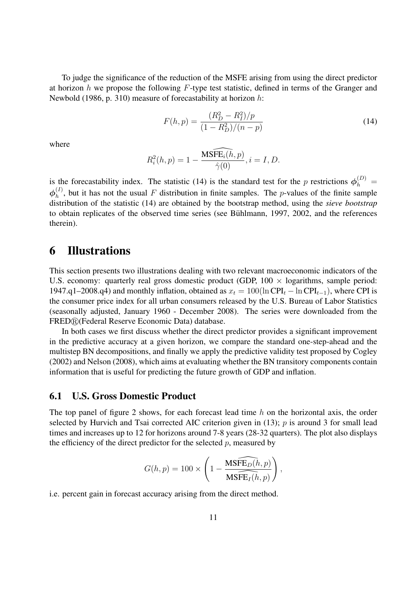To judge the significance of the reduction of the MSFE arising from using the direct predictor at horizon  $h$  we propose the following  $F$ -type test statistic, defined in terms of the Granger and Newbold (1986, p. 310) measure of forecastability at horizon h:

$$
F(h, p) = \frac{(R_D^2 - R_I^2)/p}{(1 - R_D^2)/(n - p)}
$$
\n(14)

where

$$
R_i^2(h, p) = 1 - \frac{\widehat{\text{MSFE}_i(h, p)}}{\widehat{\gamma}(0)}, i = I, D.
$$

is the forecastability index. The statistic (14) is the standard test for the p restrictions  $\phi_h^{(D)}$  =  $\boldsymbol{\phi}_h^{(I)}$  $h<sup>(1)</sup>$ , but it has not the usual F distribution in finite samples. The p-values of the finite sample distribution of the statistic (14) are obtained by the bootstrap method, using the *sieve bootstrap* to obtain replicates of the observed time series (see Bühlmann, 1997, 2002, and the references therein).

## **6 Illustrations**

This section presents two illustrations dealing with two relevant macroeconomic indicators of the U.S. economy: quarterly real gross domestic product (GDP,  $100 \times$  logarithms, sample period: 1947.q1–2008.q4) and monthly inflation, obtained as  $x_t = 100(\ln \text{CPI}_t - \ln \text{CPI}_{t-1})$ , where CPI is the consumer price index for all urban consumers released by the U.S. Bureau of Labor Statistics (seasonally adjusted, January 1960 - December 2008). The series were downloaded from the FRED®(Federal Reserve Economic Data) database.

In both cases we first discuss whether the direct predictor provides a significant improvement in the predictive accuracy at a given horizon, we compare the standard one-step-ahead and the multistep BN decompositions, and finally we apply the predictive validity test proposed by Cogley (2002) and Nelson (2008), which aims at evaluating whether the BN transitory components contain information that is useful for predicting the future growth of GDP and inflation.

#### **6.1 U.S. Gross Domestic Product**

The top panel of figure 2 shows, for each forecast lead time  $h$  on the horizontal axis, the order selected by Hurvich and Tsai corrected AIC criterion given in (13);  $p$  is around 3 for small lead times and increases up to 12 for horizons around 7-8 years (28-32 quarters). The plot also displays the efficiency of the direct predictor for the selected  $p$ , measured by

$$
G(h, p) = 100 \times \left(1 - \frac{\widehat{\text{MSFE}_D(h, p)}}{\widehat{\text{MSFE}_I(h, p)}}\right),
$$

i.e. percent gain in forecast accuracy arising from the direct method.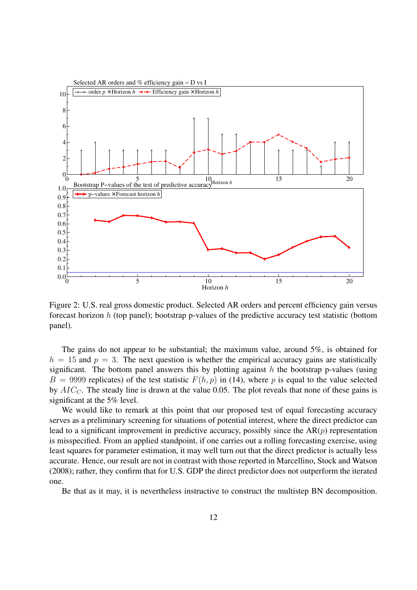

Figure 2: U.S. real gross domestic product. Selected AR orders and percent efficiency gain versus forecast horizon h (top panel); bootstrap p-values of the predictive accuracy test statistic (bottom panel).

The gains do not appear to be substantial; the maximum value, around 5%, is obtained for  $h = 15$  and  $p = 3$ . The next question is whether the empirical accuracy gains are statistically significant. The bottom panel answers this by plotting against  $h$  the bootstrap p-values (using  $B = 9999$  replicates) of the test statistic  $F(h, p)$  in (14), where p is equal to the value selected by  $AIC<sub>C</sub>$ . The steady line is drawn at the value 0.05. The plot reveals that none of these gains is significant at the 5% level.

We would like to remark at this point that our proposed test of equal forecasting accuracy serves as a preliminary screening for situations of potential interest, where the direct predictor can lead to a significant improvement in predictive accuracy, possibly since the  $AR(p)$  representation is misspecified. From an applied standpoint, if one carries out a rolling forecasting exercise, using least squares for parameter estimation, it may well turn out that the direct predictor is actually less accurate. Hence, our result are not in contrast with those reported in Marcellino, Stock and Watson (2008); rather, they confirm that for U.S. GDP the direct predictor does not outperform the iterated one.

Be that as it may, it is nevertheless instructive to construct the multistep BN decomposition.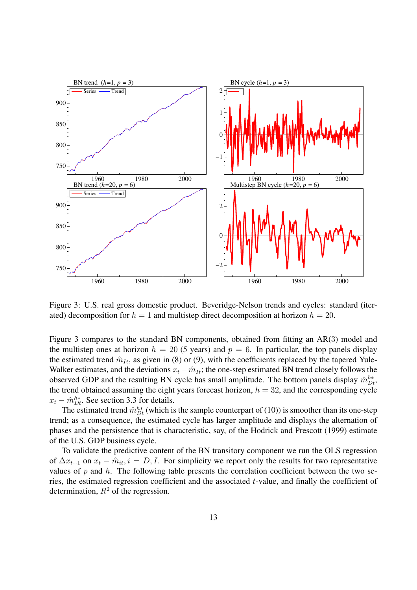

Figure 3: U.S. real gross domestic product. Beveridge-Nelson trends and cycles: standard (iterated) decomposition for  $h = 1$  and multistep direct decomposition at horizon  $h = 20$ .

Figure 3 compares to the standard BN components, obtained from fitting an AR(3) model and the multistep ones at horizon  $h = 20$  (5 years) and  $p = 6$ . In particular, the top panels display the estimated trend  $\hat{m}_{It}$ , as given in (8) or (9), with the coefficients replaced by the tapered Yule-Walker estimates, and the deviations  $x_t - \hat{m}_{It}$ ; the one-step estimated BN trend closely follows the observed GDP and the resulting BN cycle has small amplitude. The bottom panels display  $\hat{m}_{Dt}^{h*}$ , the trend obtained assuming the eight years forecast horizon,  $h = 32$ , and the corresponding cycle  $x_t - \hat{m}_{Dt}^{h*}$ . See section 3.3 for details.

The estimated trend  $\hat{m}_{Dt}^{h*}$  (which is the sample counterpart of (10)) is smoother than its one-step trend; as a consequence, the estimated cycle has larger amplitude and displays the alternation of phases and the persistence that is characteristic, say, of the Hodrick and Prescott (1999) estimate of the U.S. GDP business cycle.

To validate the predictive content of the BN transitory component we run the OLS regression of  $\Delta x_{t+1}$  on  $x_t - \hat{m}_{it}$ ,  $i = D, I$ . For simplicity we report only the results for two representative values of  $p$  and  $h$ . The following table presents the correlation coefficient between the two series, the estimated regression coefficient and the associated t-value, and finally the coefficient of determination,  $R^2$  of the regression.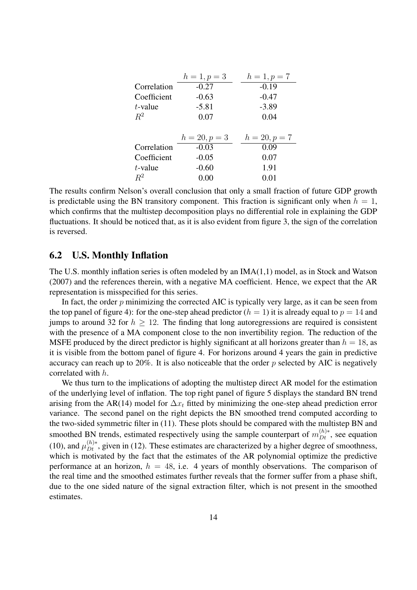|             | $h = 1, p = 3$  | $h = 1, p = 7$  |
|-------------|-----------------|-----------------|
| Correlation | $-0.27$         | $-0.19$         |
| Coefficient | $-0.63$         | $-0.47$         |
| $t$ -value  | $-5.81$         | $-3.89$         |
| $R^2$       | 0.07            | 0.04            |
|             |                 |                 |
|             |                 |                 |
|             | $h = 20, p = 3$ | $h = 20, p = 7$ |
| Correlation | $-0.03$         | 0.09            |
| Coefficient | $-0.05$         | 0.07            |
| $t$ -value  | $-0.60$         | 1.91            |

The results confirm Nelson's overall conclusion that only a small fraction of future GDP growth is predictable using the BN transitory component. This fraction is significant only when  $h = 1$ , which confirms that the multistep decomposition plays no differential role in explaining the GDP fluctuations. It should be noticed that, as it is also evident from figure 3, the sign of the correlation is reversed.

#### **6.2 U.S. Monthly Inflation**

The U.S. monthly inflation series is often modeled by an IMA(1,1) model, as in Stock and Watson (2007) and the references therein, with a negative MA coefficient. Hence, we expect that the AR representation is misspecified for this series.

In fact, the order  $p$  minimizing the corrected AIC is typically very large, as it can be seen from the top panel of figure 4): for the one-step ahead predictor  $(h = 1)$  it is already equal to  $p = 14$  and jumps to around 32 for  $h \geq 12$ . The finding that long autoregressions are required is consistent with the presence of a MA component close to the non invertibility region. The reduction of the MSFE produced by the direct predictor is highly significant at all horizons greater than  $h = 18$ , as it is visible from the bottom panel of figure 4. For horizons around 4 years the gain in predictive accuracy can reach up to 20%. It is also noticeable that the order  $p$  selected by AIC is negatively correlated with h.

We thus turn to the implications of adopting the multistep direct AR model for the estimation of the underlying level of inflation. The top right panel of figure 5 displays the standard BN trend arising from the AR(14) model for  $\Delta x_t$  fitted by minimizing the one-step ahead prediction error variance. The second panel on the right depicts the BN smoothed trend computed according to the two-sided symmetric filter in (11). These plots should be compared with the multistep BN and smoothed BN trends, estimated respectively using the sample counterpart of  $m_{Dt}^{(h)*}$ , see equation (10), and  $\mu_{Dt}^{(h)*}$ , given in (12). These estimates are characterized by a higher degree of smoothness, which is motivated by the fact that the estimates of the AR polynomial optimize the predictive performance at an horizon,  $h = 48$ , i.e. 4 years of monthly observations. The comparison of the real time and the smoothed estimates further reveals that the former suffer from a phase shift, due to the one sided nature of the signal extraction filter, which is not present in the smoothed estimates.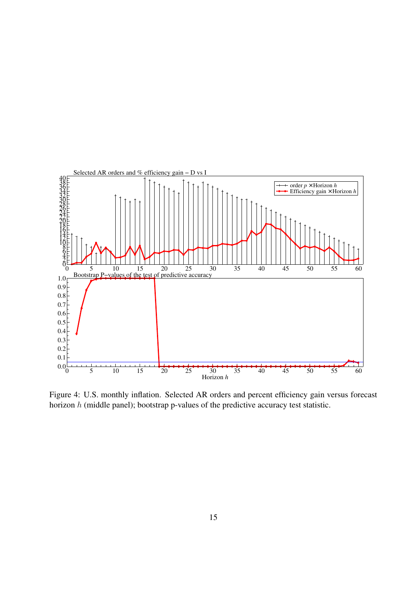

Figure 4: U.S. monthly inflation. Selected AR orders and percent efficiency gain versus forecast horizon  $h$  (middle panel); bootstrap p-values of the predictive accuracy test statistic.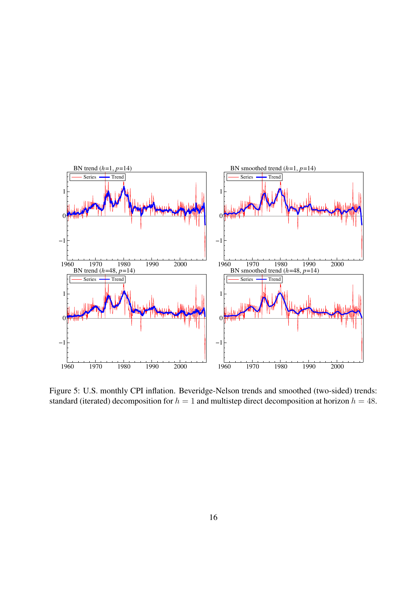

Figure 5: U.S. monthly CPI inflation. Beveridge-Nelson trends and smoothed (two-sided) trends: standard (iterated) decomposition for  $h = 1$  and multistep direct decomposition at horizon  $h = 48$ .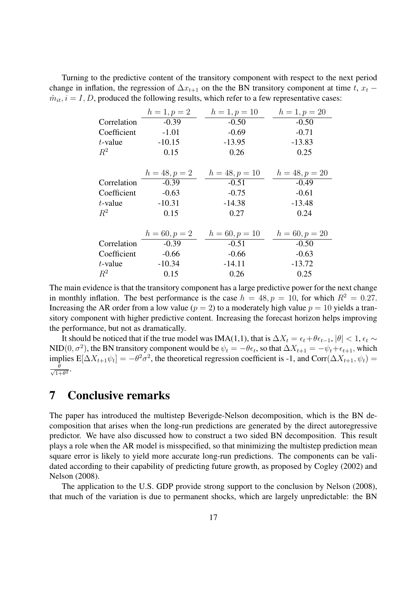Turning to the predictive content of the transitory component with respect to the next period change in inflation, the regression of  $\Delta x_{t+1}$  on the the BN transitory component at time t,  $x_t$  −  $\hat{m}_{it}$ ,  $i = I, D$ , produced the following results, which refer to a few representative cases:

|             | $h = 1, p = 2$  | $h = 1, p = 10$  | $h = 1, p = 20$  |
|-------------|-----------------|------------------|------------------|
| Correlation | $-0.39$         | $-0.50$          | $-0.50$          |
| Coefficient | $-1.01$         | $-0.69$          | $-0.71$          |
| $t$ -value  | $-10.15$        | $-13.95$         | $-13.83$         |
| $R^2$       | 0.15            | 0.26             | 0.25             |
|             |                 |                  |                  |
|             | $h = 48, p = 2$ | $h = 48, p = 10$ | $h = 48, p = 20$ |
| Correlation | $-0.39$         | $-0.51$          | $-0.49$          |
| Coefficient | $-0.63$         | $-0.75$          | $-0.61$          |
| $t$ -value  | $-10.31$        | $-14.38$         | $-13.48$         |
| $R^2$       | 0.15            | 0.27             | 0.24             |
|             |                 |                  |                  |
|             | $h = 60, p = 2$ | $h = 60, p = 10$ | $h = 60, p = 20$ |
| Correlation | $-0.39$         | $-0.51$          | $-0.50$          |
| Coefficient | $-0.66$         | $-0.66$          | $-0.63$          |
| $t$ -value  | $-10.34$        | $-14.11$         | $-13.72$         |
| $R^2$       | 0.15            | 0.26             | 0.25             |

The main evidence is that the transitory component has a large predictive power for the next change in monthly inflation. The best performance is the case  $h = 48, p = 10$ , for which  $R^2 = 0.27$ . Increasing the AR order from a low value ( $p = 2$ ) to a moderately high value  $p = 10$  yields a transitory component with higher predictive content. Increasing the forecast horizon helps improving the performance, but not as dramatically.

It should be noticed that if the true model was IMA(1,1), that is  $\Delta X_t = \epsilon_t + \theta \epsilon_{t-1}$ ,  $|\theta| < 1$ ,  $\epsilon_t \sim$ NID(0,  $\sigma^2$ ), the BN transitory component would be  $\psi_t = -\theta \epsilon_t$ , so that  $\Delta X_{t+1} = -\psi_t + \epsilon_{t+1}$ , which implies  $E[\Delta X_{t+1}\psi_t] = -\theta^2\sigma^2$ , the theoretical regression coefficient is -1, and Corr $(\Delta X_{t+1}, \psi_t)$  =  $\frac{\theta}{\sqrt{1-\theta}}$  $\frac{\theta}{1+\theta^2}$ .

# **7 Conclusive remarks**

The paper has introduced the multistep Beverigde-Nelson decomposition, which is the BN decomposition that arises when the long-run predictions are generated by the direct autoregressive predictor. We have also discussed how to construct a two sided BN decomposition. This result plays a role when the AR model is misspecified, so that minimizing the multistep prediction mean square error is likely to yield more accurate long-run predictions. The components can be validated according to their capability of predicting future growth, as proposed by Cogley (2002) and Nelson (2008).

The application to the U.S. GDP provide strong support to the conclusion by Nelson (2008), that much of the variation is due to permanent shocks, which are largely unpredictable: the BN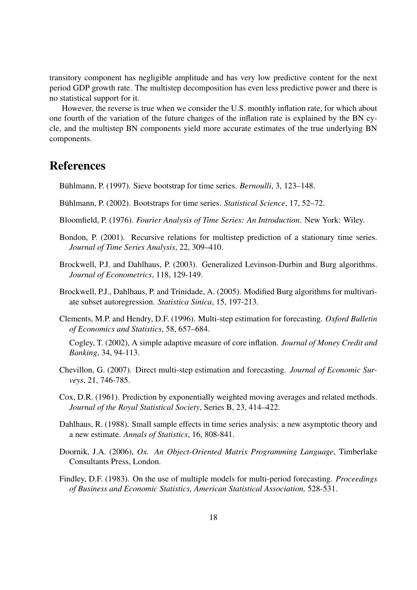transitory component has negligible amplitude and has very low predictive content for the next period GDP growth rate. The multistep decomposition has even less predictive power and there is no statistical support for it.

However, the reverse is true when we consider the U.S. monthly inflation rate, for which about one fourth of the variation of the future changes of the inflation rate is explained by the BN cycle, and the multistep BN components yield more accurate estimates of the true underlying BN components.

# **References**

Bühlmann, P. (1997). Sieve bootstrap for time series. *Bernoulli*, 3, 123–148.

- Bühlmann, P. (2002). Bootstraps for time series. *Statistical Science*, 17, 52–72.
- Bloomfield, P. (1976). *Fourier Analysis of Time Series: An Introduction*. New York: Wiley.
- Bondon, P. (2001). Recursive relations for multistep prediction of a stationary time series. *Journal of Time Series Analysis*, 22, 309–410.
- Brockwell, P.J. and Dahlhaus, P. (2003). Generalized Levinson-Durbin and Burg algorithms. *Journal of Econometrics*, 118, 129-149.
- Brockwell, P.J., Dahlhaus, P. and Trinidade, A. (2005). Modified Burg algorithms for multivariate subset autoregression. *Statistica Sinica*, 15, 197-213.
- Clements, M.P. and Hendry, D.F. (1996). Multi-step estimation for forecasting. *Oxford Bulletin of Economics and Statistics*, 58, 657–684.

Cogley, T. (2002), A simple adaptive measure of core inflation. *Journal of Money Credit and Banking*, 34, 94-113.

- Chevillon, G. (2007). Direct multi-step estimation and forecasting. *Journal of Economic Surveys*, 21, 746-785.
- Cox, D.R. (1961). Prediction by exponentially weighted moving averages and related methods. *Journal of the Royal Statistical Society*, Series B, 23, 414–422.
- Dahlhaus, R. (1988). Small sample effects in time series analysis: a new asymptotic theory and a new estimate. *Annals of Statistics*, 16, 808-841.
- Doornik, J.A. (2006), *Ox. An Object-Oriented Matrix Programming Language*, Timberlake Consultants Press, London.
- Findley, D.F. (1983). On the use of multiple models for multi-period forecasting. *Proceedings of Business and Economic Statistics, American Statistical Association,* 528-531.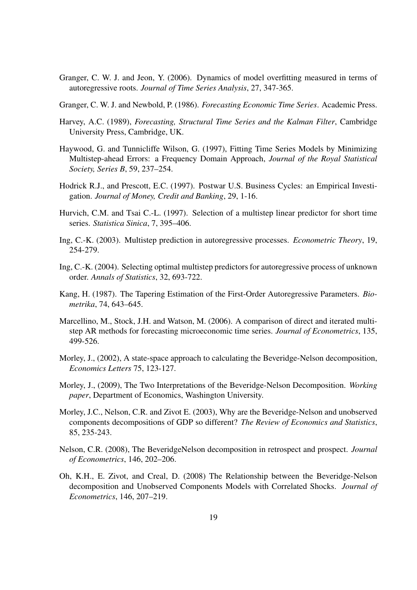- Granger, C. W. J. and Jeon, Y. (2006). Dynamics of model overfitting measured in terms of autoregressive roots. *Journal of Time Series Analysis*, 27, 347-365.
- Granger, C. W. J. and Newbold, P. (1986). *Forecasting Economic Time Series*. Academic Press.
- Harvey, A.C. (1989), *Forecasting, Structural Time Series and the Kalman Filter*, Cambridge University Press, Cambridge, UK.
- Haywood, G. and Tunnicliffe Wilson, G. (1997), Fitting Time Series Models by Minimizing Multistep-ahead Errors: a Frequency Domain Approach, *Journal of the Royal Statistical Society, Series B*, 59, 237–254.
- Hodrick R.J., and Prescott, E.C. (1997). Postwar U.S. Business Cycles: an Empirical Investigation. *Journal of Money, Credit and Banking*, 29, 1-16.
- Hurvich, C.M. and Tsai C.-L. (1997). Selection of a multistep linear predictor for short time series. *Statistica Sinica*, 7, 395–406.
- Ing, C.-K. (2003). Multistep prediction in autoregressive processes. *Econometric Theory*, 19, 254-279.
- Ing, C.-K. (2004). Selecting optimal multistep predictors for autoregressive process of unknown order. *Annals of Statistics*, 32, 693-722.
- Kang, H. (1987). The Tapering Estimation of the First-Order Autoregressive Parameters. *Biometrika*, 74, 643–645.
- Marcellino, M., Stock, J.H. and Watson, M. (2006). A comparison of direct and iterated multistep AR methods for forecasting microeconomic time series. *Journal of Econometrics*, 135, 499-526.
- Morley, J., (2002), A state-space approach to calculating the Beveridge-Nelson decomposition, *Economics Letters* 75, 123-127.
- Morley, J., (2009), The Two Interpretations of the Beveridge-Nelson Decomposition. *Working paper*, Department of Economics, Washington University.
- Morley, J.C., Nelson, C.R. and Zivot E. (2003), Why are the Beveridge-Nelson and unobserved components decompositions of GDP so different? *The Review of Economics and Statistics*, 85, 235-243.
- Nelson, C.R. (2008), The BeveridgeNelson decomposition in retrospect and prospect. *Journal of Econometrics*, 146, 202–206.
- Oh, K.H., E. Zivot, and Creal, D. (2008) The Relationship between the Beveridge-Nelson decomposition and Unobserved Components Models with Correlated Shocks. *Journal of Econometrics*, 146, 207–219.